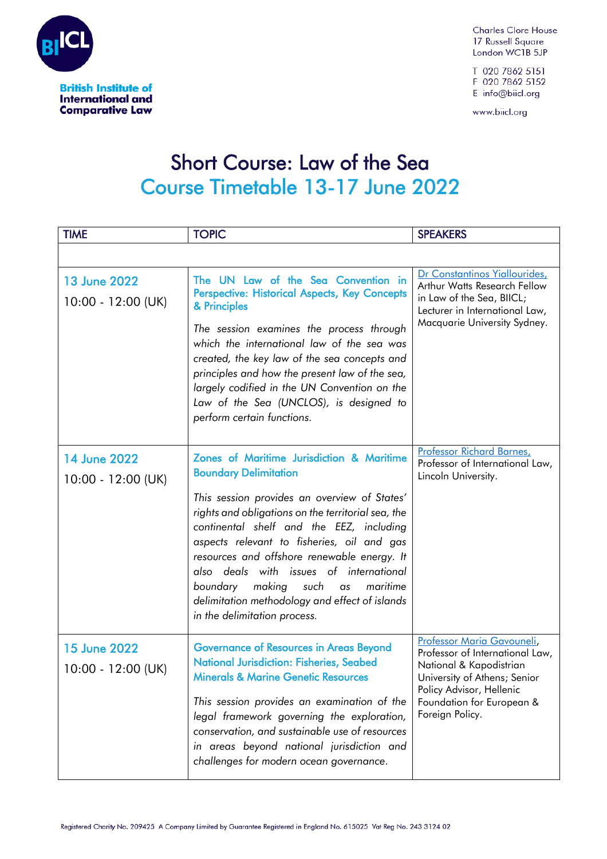

**Comparative Law** 

**Charles Clore House** 17 Russell Square London WC1B 5JP

T 020 7862 5151 F 020 7862 5152 E info@biicl.org

www.biicl.org

## Short Course: Law of the Sea **Course Timetable 13-17 June 2022**

| <b>TIME</b>                                 | <b>TOPIC</b>                                                                                                                                                                                                                                                                                                                                                                                                                                                                                          | <b>SPEAKERS</b>                                                                                                                                                                                      |
|---------------------------------------------|-------------------------------------------------------------------------------------------------------------------------------------------------------------------------------------------------------------------------------------------------------------------------------------------------------------------------------------------------------------------------------------------------------------------------------------------------------------------------------------------------------|------------------------------------------------------------------------------------------------------------------------------------------------------------------------------------------------------|
|                                             |                                                                                                                                                                                                                                                                                                                                                                                                                                                                                                       |                                                                                                                                                                                                      |
| <b>13 June 2022</b><br>10:00 - 12:00 (UK)   | The UN Law of the Sea Convention in<br>Perspective: Historical Aspects, Key Concepts<br>& Principles<br>The session examines the process through<br>which the international law of the sea was<br>created, the key law of the sea concepts and<br>principles and how the present law of the sea,<br>largely codified in the UN Convention on the<br>Law of the Sea (UNCLOS), is designed to<br>perform certain functions.                                                                             | Dr Constantinos Yiallourides,<br>Arthur Watts Research Fellow<br>in Law of the Sea, BIICL;<br>Lecturer in International Law,<br>Macquarie University Sydney.                                         |
| 14 June 2022<br>$10:00 - 12:00$ (UK)        | Zones of Maritime Jurisdiction & Maritime<br><b>Boundary Delimitation</b><br>This session provides an overview of States'<br>rights and obligations on the territorial sea, the<br>continental shelf and the EEZ, including<br>aspects relevant to fisheries, oil and gas<br>resources and offshore renewable energy. It<br>also deals with issues of international<br>making<br>maritime<br>boundary<br>such<br>as<br>delimitation methodology and effect of islands<br>in the delimitation process. | Professor Richard Barnes,<br>Professor of International Law,<br>Lincoln University.                                                                                                                  |
| <b>15 June 2022</b><br>$10:00 - 12:00$ (UK) | Governance of Resources in Areas Beyond<br><b>National Jurisdiction: Fisheries, Seabed</b><br><b>Minerals &amp; Marine Genetic Resources</b><br>This session provides an examination of the<br>legal framework governing the exploration,<br>conservation, and sustainable use of resources<br>in areas beyond national jurisdiction and<br>challenges for modern ocean governance.                                                                                                                   | Professor Maria Gavouneli,<br>Professor of International Law,<br>National & Kapodistrian<br>University of Athens; Senior<br>Policy Advisor, Hellenic<br>Foundation for European &<br>Foreign Policy. |